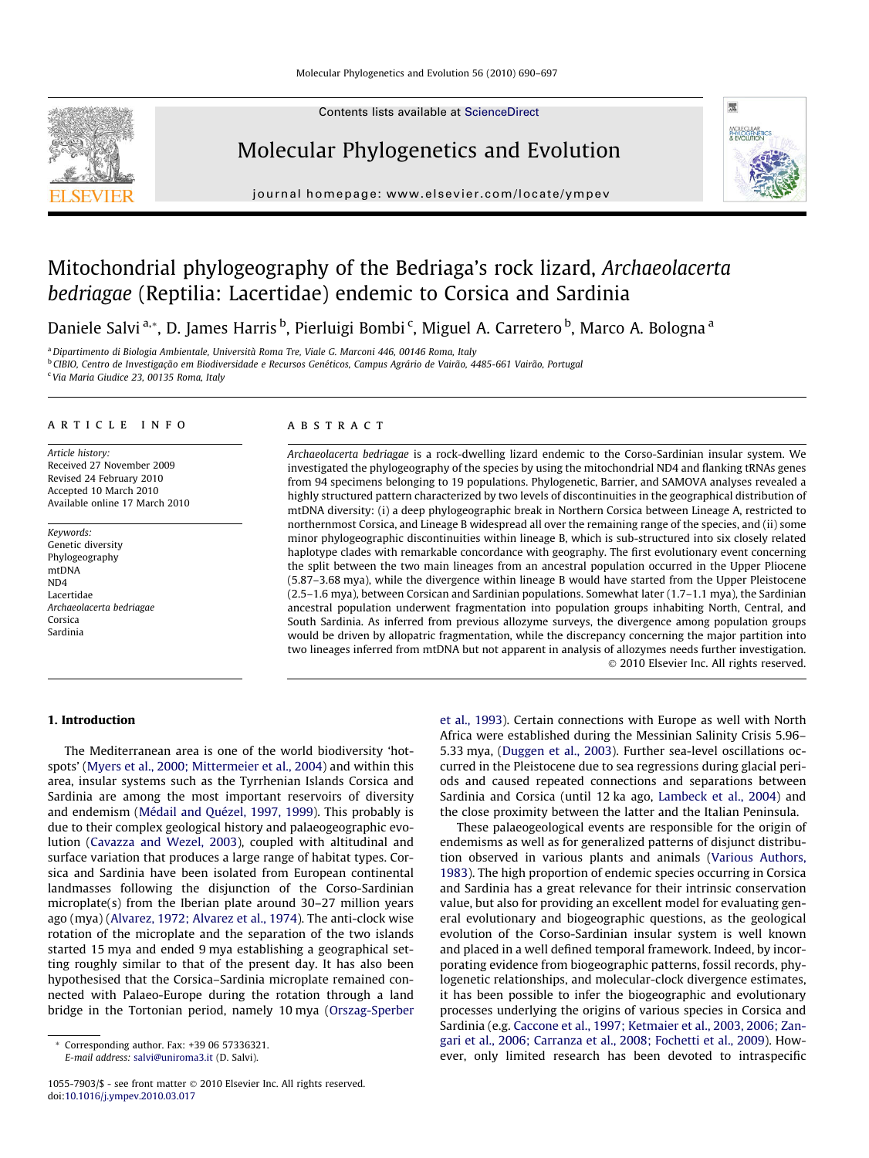Contents lists available at [ScienceDirect](http://www.sciencedirect.com/science/journal/10557903)



## Molecular Phylogenetics and Evolution



journal homepage: [www.elsevier.com/locate/ympev](http://www.elsevier.com/locate/ympev)

# Mitochondrial phylogeography of the Bedriaga's rock lizard, Archaeolacerta bedriagae (Reptilia: Lacertidae) endemic to Corsica and Sardinia

Daniele Salvi <sup>a,</sup>\*, D. James Harris <sup>b</sup>, Pierluigi Bombi <sup>c</sup>, Miguel A. Carretero <sup>b</sup>, Marco A. Bologna <sup>a</sup>

<sup>a</sup>Dipartimento di Biologia Ambientale, Università Roma Tre, Viale G. Marconi 446, 00146 Roma, Italy

<sup>b</sup> CIBIO, Centro de Investigação em Biodiversidade e Recursos Genéticos, Campus Agrário de Vairão, 4485-661 Vairão, Portugal

<sup>c</sup> Via Maria Giudice 23, 00135 Roma, Italy

## article info

Article history: Received 27 November 2009 Revised 24 February 2010 Accepted 10 March 2010 Available online 17 March 2010

Keywords: Genetic diversity Phylogeography mtDNA ND4 Lacertidae Archaeolacerta bedriagae Corsica Sardinia

#### **ABSTRACT**

Archaeolacerta bedriagae is a rock-dwelling lizard endemic to the Corso-Sardinian insular system. We investigated the phylogeography of the species by using the mitochondrial ND4 and flanking tRNAs genes from 94 specimens belonging to 19 populations. Phylogenetic, Barrier, and SAMOVA analyses revealed a highly structured pattern characterized by two levels of discontinuities in the geographical distribution of mtDNA diversity: (i) a deep phylogeographic break in Northern Corsica between Lineage A, restricted to northernmost Corsica, and Lineage B widespread all over the remaining range of the species, and (ii) some minor phylogeographic discontinuities within lineage B, which is sub-structured into six closely related haplotype clades with remarkable concordance with geography. The first evolutionary event concerning the split between the two main lineages from an ancestral population occurred in the Upper Pliocene (5.87–3.68 mya), while the divergence within lineage B would have started from the Upper Pleistocene (2.5–1.6 mya), between Corsican and Sardinian populations. Somewhat later (1.7–1.1 mya), the Sardinian ancestral population underwent fragmentation into population groups inhabiting North, Central, and South Sardinia. As inferred from previous allozyme surveys, the divergence among population groups would be driven by allopatric fragmentation, while the discrepancy concerning the major partition into two lineages inferred from mtDNA but not apparent in analysis of allozymes needs further investigation. - 2010 Elsevier Inc. All rights reserved.

## 1. Introduction

The Mediterranean area is one of the world biodiversity 'hotspots' ([Myers et al., 2000; Mittermeier et al., 2004\)](#page-7-0) and within this area, insular systems such as the Tyrrhenian Islands Corsica and Sardinia are among the most important reservoirs of diversity and endemism [\(Médail and Quézel, 1997, 1999\)](#page-7-0). This probably is due to their complex geological history and palaeogeographic evolution [\(Cavazza and Wezel, 2003\)](#page-6-0), coupled with altitudinal and surface variation that produces a large range of habitat types. Corsica and Sardinia have been isolated from European continental landmasses following the disjunction of the Corso-Sardinian microplate(s) from the Iberian plate around 30–27 million years ago (mya) ([Alvarez, 1972; Alvarez et al., 1974\)](#page-6-0). The anti-clock wise rotation of the microplate and the separation of the two islands started 15 mya and ended 9 mya establishing a geographical setting roughly similar to that of the present day. It has also been hypothesised that the Corsica–Sardinia microplate remained connected with Palaeo-Europe during the rotation through a land bridge in the Tortonian period, namely 10 mya ([Orszag-Sperber](#page-7-0) [et al., 1993](#page-7-0)). Certain connections with Europe as well with North Africa were established during the Messinian Salinity Crisis 5.96– 5.33 mya, [\(Duggen et al., 2003](#page-6-0)). Further sea-level oscillations occurred in the Pleistocene due to sea regressions during glacial periods and caused repeated connections and separations between Sardinia and Corsica (until 12 ka ago, [Lambeck et al., 2004](#page-7-0)) and the close proximity between the latter and the Italian Peninsula.

These palaeogeological events are responsible for the origin of endemisms as well as for generalized patterns of disjunct distribution observed in various plants and animals ([Various Authors,](#page-7-0) [1983\)](#page-7-0). The high proportion of endemic species occurring in Corsica and Sardinia has a great relevance for their intrinsic conservation value, but also for providing an excellent model for evaluating general evolutionary and biogeographic questions, as the geological evolution of the Corso-Sardinian insular system is well known and placed in a well defined temporal framework. Indeed, by incorporating evidence from biogeographic patterns, fossil records, phylogenetic relationships, and molecular-clock divergence estimates, it has been possible to infer the biogeographic and evolutionary processes underlying the origins of various species in Corsica and Sardinia (e.g. [Caccone et al., 1997; Ketmaier et al., 2003, 2006; Zan](#page-6-0)[gari et al., 2006; Carranza et al., 2008; Fochetti et al., 2009](#page-6-0)). However, only limited research has been devoted to intraspecific

<sup>\*</sup> Corresponding author. Fax: +39 06 57336321. E-mail address: [salvi@uniroma3.it](mailto:salvi@uniroma3.it) (D. Salvi).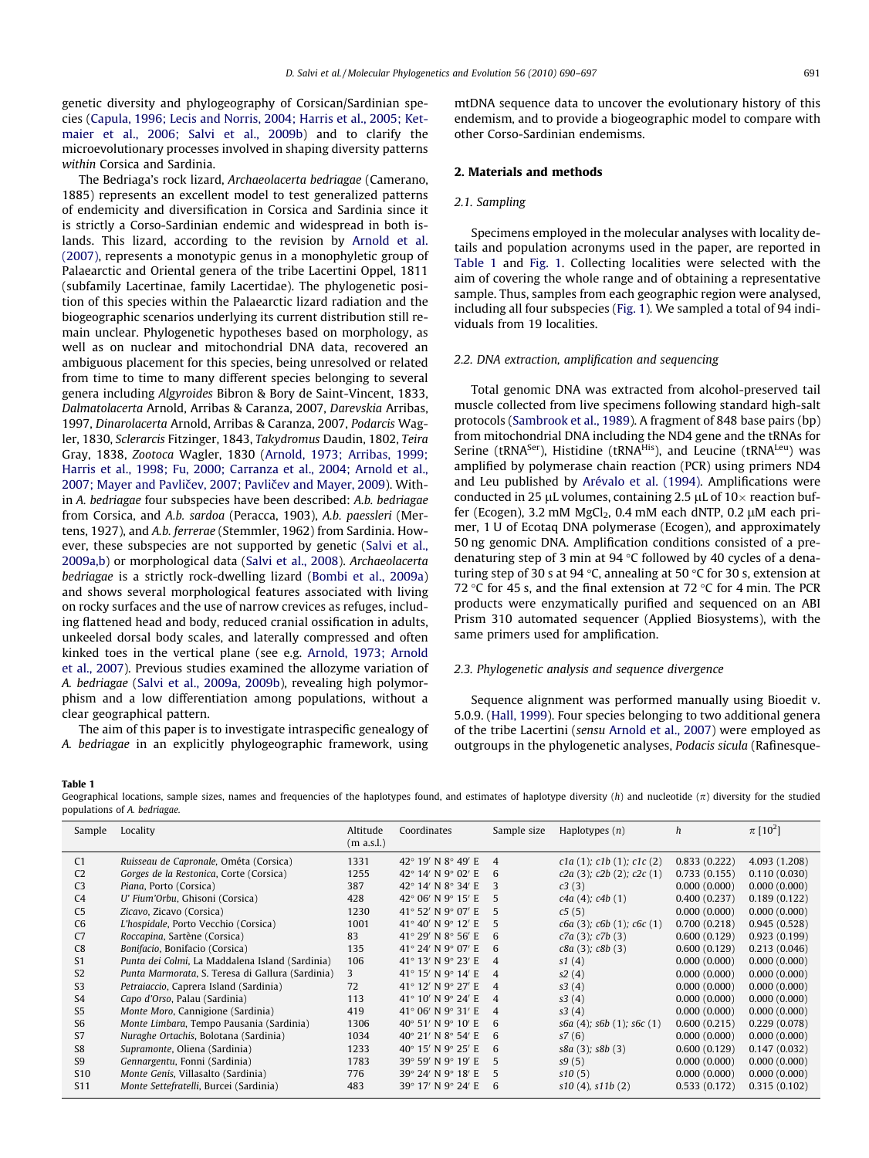<span id="page-1-0"></span>genetic diversity and phylogeography of Corsican/Sardinian species [\(Capula, 1996; Lecis and Norris, 2004; Harris et al., 2005; Ket](#page-6-0)[maier et al., 2006; Salvi et al., 2009b\)](#page-6-0) and to clarify the microevolutionary processes involved in shaping diversity patterns within Corsica and Sardinia.

The Bedriaga's rock lizard, Archaeolacerta bedriagae (Camerano, 1885) represents an excellent model to test generalized patterns of endemicity and diversification in Corsica and Sardinia since it is strictly a Corso-Sardinian endemic and widespread in both islands. This lizard, according to the revision by [Arnold et al.](#page-6-0) [\(2007\)](#page-6-0), represents a monotypic genus in a monophyletic group of Palaearctic and Oriental genera of the tribe Lacertini Oppel, 1811 (subfamily Lacertinae, family Lacertidae). The phylogenetic position of this species within the Palaearctic lizard radiation and the biogeographic scenarios underlying its current distribution still remain unclear. Phylogenetic hypotheses based on morphology, as well as on nuclear and mitochondrial DNA data, recovered an ambiguous placement for this species, being unresolved or related from time to time to many different species belonging to several genera including Algyroides Bibron & Bory de Saint-Vincent, 1833, Dalmatolacerta Arnold, Arribas & Caranza, 2007, Darevskia Arribas, 1997, Dinarolacerta Arnold, Arribas & Caranza, 2007, Podarcis Wagler, 1830, Sclerarcis Fitzinger, 1843, Takydromus Daudin, 1802, Teira Gray, 1838, Zootoca Wagler, 1830 ([Arnold, 1973; Arribas, 1999;](#page-6-0) [Harris et al., 1998; Fu, 2000; Carranza et al., 2004; Arnold et al.,](#page-6-0) 2007; Mayer and Pavličev, 2007; Pavličev and Mayer, 2009). Within A. bedriagae four subspecies have been described: A.b. bedriagae from Corsica, and A.b. sardoa (Peracca, 1903), A.b. paessleri (Mertens, 1927), and A.b. ferrerae (Stemmler, 1962) from Sardinia. However, these subspecies are not supported by genetic ([Salvi et al.,](#page-7-0) [2009a,b](#page-7-0)) or morphological data ([Salvi et al., 2008](#page-7-0)). Archaeolacerta bedriagae is a strictly rock-dwelling lizard [\(Bombi et al., 2009a\)](#page-6-0) and shows several morphological features associated with living on rocky surfaces and the use of narrow crevices as refuges, including flattened head and body, reduced cranial ossification in adults, unkeeled dorsal body scales, and laterally compressed and often kinked toes in the vertical plane (see e.g. [Arnold, 1973; Arnold](#page-6-0) [et al., 2007\)](#page-6-0). Previous studies examined the allozyme variation of A. bedriagae [\(Salvi et al., 2009a, 2009b\)](#page-7-0), revealing high polymorphism and a low differentiation among populations, without a clear geographical pattern.

The aim of this paper is to investigate intraspecific genealogy of A. bedriagae in an explicitly phylogeographic framework, using

mtDNA sequence data to uncover the evolutionary history of this endemism, and to provide a biogeographic model to compare with other Corso-Sardinian endemisms.

## 2. Materials and methods

#### 2.1. Sampling

Specimens employed in the molecular analyses with locality details and population acronyms used in the paper, are reported in Table 1 and [Fig.](#page-2-0) 1. Collecting localities were selected with the aim of covering the whole range and of obtaining a representative sample. Thus, samples from each geographic region were analysed, including all four subspecies ([Fig. 1\)](#page-2-0). We sampled a total of 94 individuals from 19 localities.

## 2.2. DNA extraction, amplification and sequencing

Total genomic DNA was extracted from alcohol-preserved tail muscle collected from live specimens following standard high-salt protocols [\(Sambrook et al., 1989\)](#page-7-0). A fragment of 848 base pairs (bp) from mitochondrial DNA including the ND4 gene and the tRNAs for Serine (tRNA<sup>Ser</sup>), Histidine (tRNA<sup>His</sup>), and Leucine (tRNA<sup>Leu</sup>) was amplified by polymerase chain reaction (PCR) using primers ND4 and Leu published by [Arévalo et al. \(1994\).](#page-6-0) Amplifications were conducted in 25  $\mu$ L volumes, containing 2.5  $\mu$ L of 10 $\times$  reaction buffer (Ecogen), 3.2 mM MgCl<sub>2</sub>, 0.4 mM each dNTP, 0.2  $\mu$ M each primer, 1 U of Ecotaq DNA polymerase (Ecogen), and approximately 50 ng genomic DNA. Amplification conditions consisted of a predenaturing step of 3 min at 94  $\degree$ C followed by 40 cycles of a denaturing step of 30 s at 94 °C, annealing at 50 °C for 30 s, extension at 72 °C for 45 s, and the final extension at 72 °C for 4 min. The PCR products were enzymatically purified and sequenced on an ABI Prism 310 automated sequencer (Applied Biosystems), with the same primers used for amplification.

#### 2.3. Phylogenetic analysis and sequence divergence

Sequence alignment was performed manually using Bioedit v. 5.0.9. ([Hall, 1999](#page-6-0)). Four species belonging to two additional genera of the tribe Lacertini (sensu [Arnold et al., 2007\)](#page-6-0) were employed as outgroups in the phylogenetic analyses, Podacis sicula (Rafinesque-

Table 1

Geographical locations, sample sizes, names and frequencies of the haplotypes found, and estimates of haplotype diversity  $(h)$  and nucleotide  $(\pi)$  diversity for the studied populations of A. bedriagae.

| Sample         | Locality                                         | Altitude   | Coordinates                          | Sample size    | Haplotypes $(n)$               | h            | $\pi [10^2]$  |
|----------------|--------------------------------------------------|------------|--------------------------------------|----------------|--------------------------------|--------------|---------------|
|                |                                                  | (m a.s.l.) |                                      |                |                                |              |               |
| C <sub>1</sub> | Ruisseau de Capronale, Ométa (Corsica)           | 1331       | 42° 19' N 8° 49' E                   | 4              | c1a(1); c1b(1); c1c(2)         | 0.833(0.222) | 4.093 (1.208) |
| C <sub>2</sub> | Gorges de la Restonica, Corte (Corsica)          | 1255       | 42° 14′ N 9° 02′ E                   | 6              | $c2a(3)$ ; $c2b(2)$ ; $c2c(1)$ | 0.733(0.155) | 0.110(0.030)  |
| C <sub>3</sub> | Piana, Porto (Corsica)                           | 387        | 42° 14' N 8° 34' E                   | 3              | c3(3)                          | 0.000(0.000) | 0.000(0.000)  |
| C <sub>4</sub> | U' Fium'Orbu, Ghisoni (Corsica)                  | 428        | 42 $\degree$ 06' N 9 $\degree$ 15' E | 5              | $c4a(4)$ ; $c4b(1)$            | 0.400(0.237) | 0.189(0.122)  |
| C <sub>5</sub> | Zicavo, Zicavo (Corsica)                         | 1230       | 41° 52′ N 9° 07′ E                   | 5              | c5(5)                          | 0.000(0.000) | 0.000(0.000)  |
| C <sub>6</sub> | L'hospidale, Porto Vecchio (Corsica)             | 1001       | 41° 40′ N 9° 12′ E                   | 5              | $c6a(3)$ ; $c6b(1)$ ; $c6c(1)$ | 0.700(0.218) | 0.945(0.528)  |
| C <sub>7</sub> | Roccapina, Sartène (Corsica)                     | 83         | 41° 29' N 8° 56' E                   | 6              | c7a(3); c7b(3)                 | 0.600(0.129) | 0.923(0.199)  |
| C8             | Bonifacio, Bonifacio (Corsica)                   | 135        | 41° 24′ N 9° 07′ E                   | 6              | c8a(3); c8b(3)                 | 0.600(0.129) | 0.213(0.046)  |
| S <sub>1</sub> | Punta dei Colmi, La Maddalena Island (Sardinia)  | 106        | 41° 13' N 9° 23' E                   | 4              | s1(4)                          | 0.000(0.000) | 0.000(0.000)  |
| S <sub>2</sub> | Punta Marmorata, S. Teresa di Gallura (Sardinia) | 3          | 41° 15' N 9° 14' E                   | 4              | s2(4)                          | 0.000(0.000) | 0.000(0.000)  |
| S <sub>3</sub> | Petraiaccio, Caprera Island (Sardinia)           | 72         | 41° 12′ N 9° 27′ E                   | $\overline{4}$ | s3(4)                          | 0.000(0.000) | 0.000(0.000)  |
| S <sub>4</sub> | Capo d'Orso, Palau (Sardinia)                    | 113        | 41° 10′ N 9° 24′ E                   | $\overline{4}$ | s3(4)                          | 0.000(0.000) | 0.000(0.000)  |
| S <sub>5</sub> | Monte Moro, Cannigione (Sardinia)                | 419        | 41° 06' N 9° 31' E                   | $\overline{4}$ | s3(4)                          | 0.000(0.000) | 0.000(0.000)  |
| S <sub>6</sub> | Monte Limbara, Tempo Pausania (Sardinia)         | 1306       | 40° 51' N 9° 10' E                   | 6              | $s6a(4)$ ; $s6b(1)$ ; $s6c(1)$ | 0.600(0.215) | 0.229(0.078)  |
| S7             | Nuraghe Ortachis, Bolotana (Sardinia)            | 1034       | 40° 21′ N 8° 54′ E                   | 6              | s7(6)                          | 0.000(0.000) | 0.000(0.000)  |
| S <sub>8</sub> | Supramonte, Oliena (Sardinia)                    | 1233       | 40° 15' N 9° 25' E                   | 6              | $s8a(3)$ ; $s8b(3)$            | 0.600(0.129) | 0.147(0.032)  |
| S <sub>9</sub> | Gennargentu, Fonni (Sardinia)                    | 1783       | 39° 59' N 9° 19' E                   | 5              | s9(5)                          | 0.000(0.000) | 0.000(0.000)  |
| <b>S10</b>     | Monte Genis, Villasalto (Sardinia)               | 776        | 39° 24′ N 9° 18′ E                   | 5              | s10(5)                         | 0.000(0.000) | 0.000(0.000)  |
| S11            | Monte Settefratelli, Burcei (Sardinia)           | 483        | 39° 17' N 9° 24' E                   | 6              | $s10(4)$ , $s11b(2)$           | 0.533(0.172) | 0.315(0.102)  |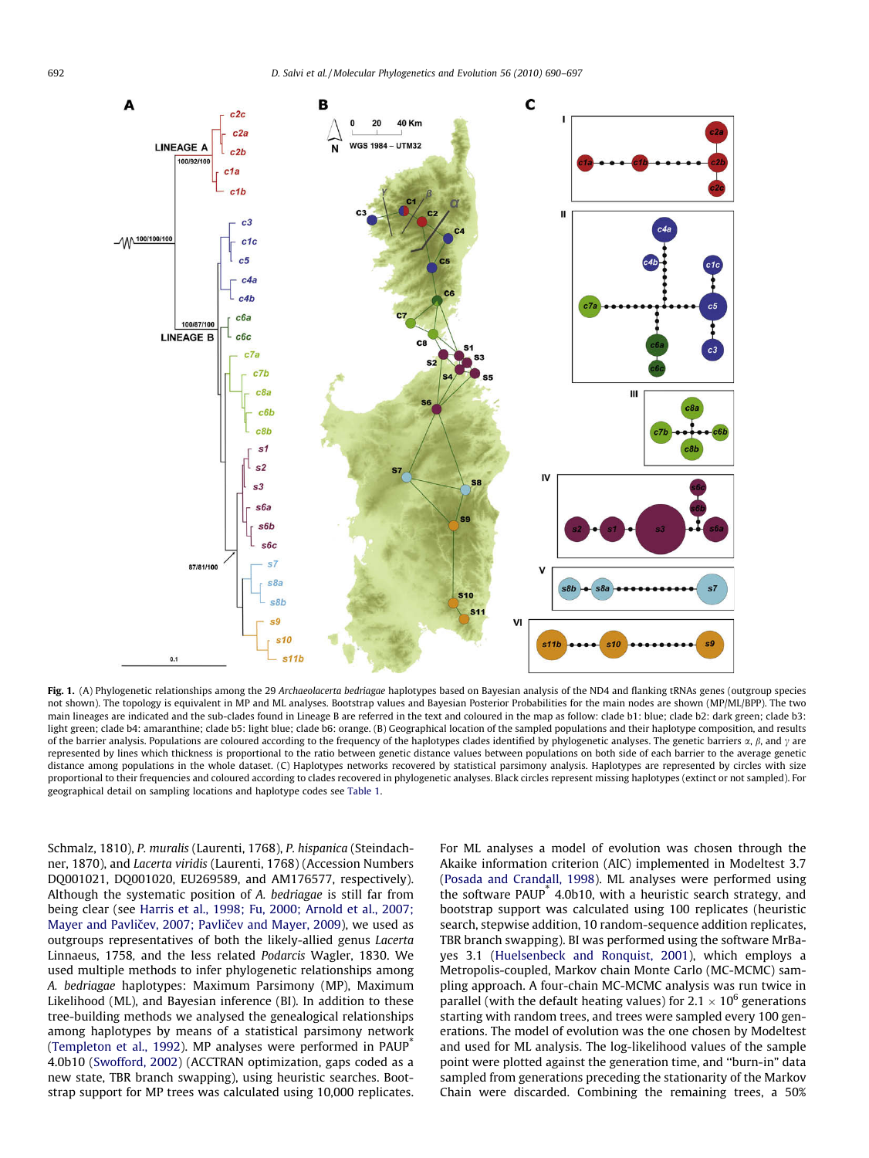<span id="page-2-0"></span>

Fig. 1. (A) Phylogenetic relationships among the 29 Archaeolacerta bedriagae haplotypes based on Bayesian analysis of the ND4 and flanking tRNAs genes (outgroup species not shown). The topology is equivalent in MP and ML analyses. Bootstrap values and Bayesian Posterior Probabilities for the main nodes are shown (MP/ML/BPP). The two main lineages are indicated and the sub-clades found in Lineage B are referred in the text and coloured in the map as follow: clade b1: blue; clade b2: dark green; clade b3: light green; clade b4: amaranthine; clade b5: light blue; clade b6: orange. (B) Geographical location of the sampled populations and their haplotype composition, and results of the barrier analysis. Populations are coloured according to the frequency of the haplotypes clades identified by phylogenetic analyses. The genetic barriers  $\alpha$ ,  $\beta$ , and  $\gamma$  are represented by lines which thickness is proportional to the ratio between genetic distance values between populations on both side of each barrier to the average genetic distance among populations in the whole dataset. (C) Haplotypes networks recovered by statistical parsimony analysis. Haplotypes are represented by circles with size proportional to their frequencies and coloured according to clades recovered in phylogenetic analyses. Black circles represent missing haplotypes (extinct or not sampled). For geographical detail on sampling locations and haplotype codes see [Table 1.](#page-1-0)

Schmalz, 1810), P. muralis (Laurenti, 1768), P. hispanica (Steindachner, 1870), and Lacerta viridis (Laurenti, 1768) (Accession Numbers DQ001021, DQ001020, EU269589, and AM176577, respectively). Although the systematic position of A. bedriagae is still far from being clear (see [Harris et al., 1998; Fu, 2000; Arnold et al., 2007;](#page-7-0) Mayer and Pavličev, 2007; Pavličev and Mayer, 2009), we used as outgroups representatives of both the likely-allied genus Lacerta Linnaeus, 1758, and the less related Podarcis Wagler, 1830. We used multiple methods to infer phylogenetic relationships among A. bedriagae haplotypes: Maximum Parsimony (MP), Maximum Likelihood (ML), and Bayesian inference (BI). In addition to these tree-building methods we analysed the genealogical relationships among haplotypes by means of a statistical parsimony network ([Templeton et al., 1992\)](#page-7-0). MP analyses were performed in  $PAUP^T$ 4.0b10 [\(Swofford, 2002\)](#page-7-0) (ACCTRAN optimization, gaps coded as a new state, TBR branch swapping), using heuristic searches. Bootstrap support for MP trees was calculated using 10,000 replicates. For ML analyses a model of evolution was chosen through the Akaike information criterion (AIC) implemented in Modeltest 3.7 ([Posada and Crandall, 1998\)](#page-7-0). ML analyses were performed using the software PAUP<sup>+</sup> 4.0b10, with a heuristic search strategy, and bootstrap support was calculated using 100 replicates (heuristic search, stepwise addition, 10 random-sequence addition replicates, TBR branch swapping). BI was performed using the software MrBayes 3.1 ([Huelsenbeck and Ronquist, 2001](#page-7-0)), which employs a Metropolis-coupled, Markov chain Monte Carlo (MC-MCMC) sampling approach. A four-chain MC-MCMC analysis was run twice in parallel (with the default heating values) for 2.1  $\times$  10<sup>6</sup> generations starting with random trees, and trees were sampled every 100 generations. The model of evolution was the one chosen by Modeltest and used for ML analysis. The log-likelihood values of the sample point were plotted against the generation time, and ''burn-in" data sampled from generations preceding the stationarity of the Markov Chain were discarded. Combining the remaining trees, a 50%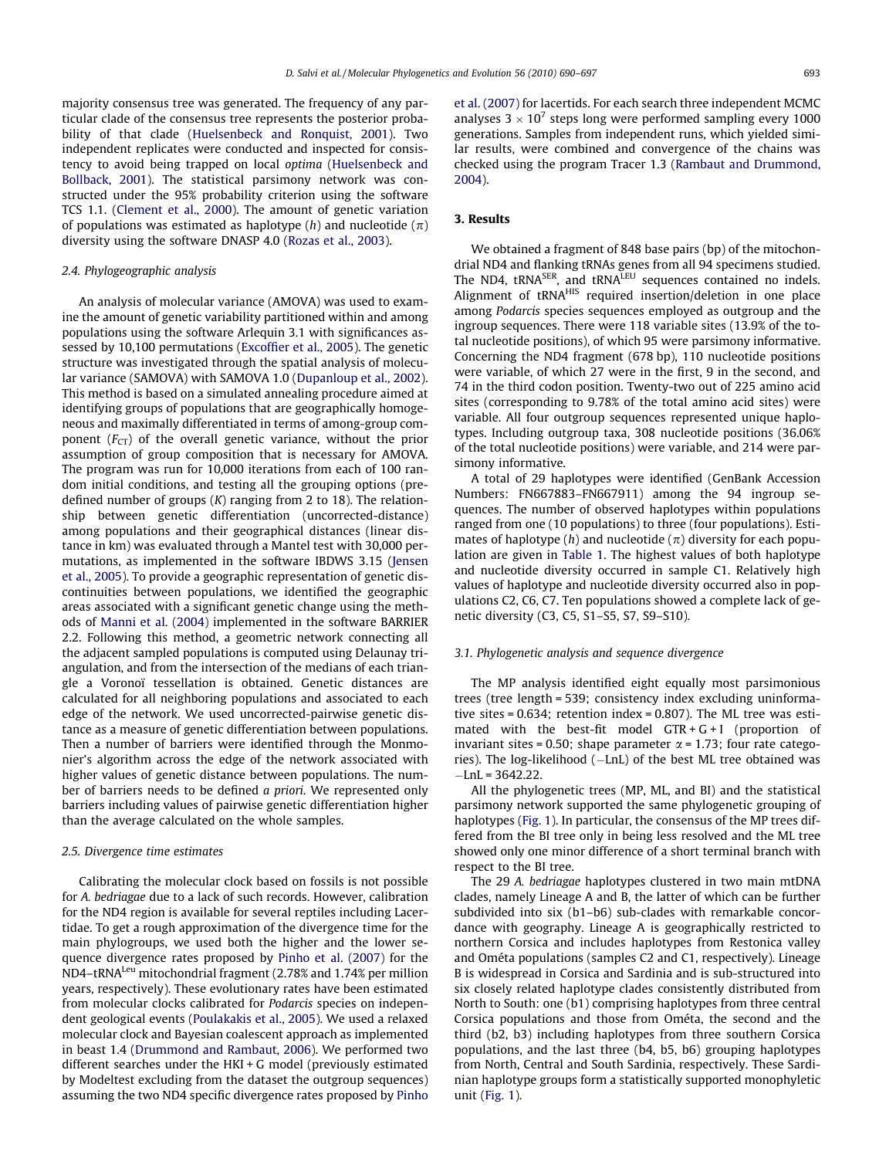majority consensus tree was generated. The frequency of any particular clade of the consensus tree represents the posterior proba-bility of that clade ([Huelsenbeck and Ronquist, 2001](#page-7-0)). Two independent replicates were conducted and inspected for consistency to avoid being trapped on local optima ([Huelsenbeck and](#page-7-0) [Bollback, 2001\)](#page-7-0). The statistical parsimony network was constructed under the 95% probability criterion using the software TCS 1.1. [\(Clement et al., 2000](#page-6-0)). The amount of genetic variation of populations was estimated as haplotype (h) and nucleotide  $(\pi)$ diversity using the software DNASP 4.0 ([Rozas et al., 2003\)](#page-7-0).

#### 2.4. Phylogeographic analysis

An analysis of molecular variance (AMOVA) was used to examine the amount of genetic variability partitioned within and among populations using the software Arlequin 3.1 with significances assessed by 10,100 permutations [\(Excoffier et al., 2005\)](#page-6-0). The genetic structure was investigated through the spatial analysis of molecular variance (SAMOVA) with SAMOVA 1.0 ([Dupanloup et al., 2002\)](#page-6-0). This method is based on a simulated annealing procedure aimed at identifying groups of populations that are geographically homogeneous and maximally differentiated in terms of among-group component  $(F<sub>CT</sub>)$  of the overall genetic variance, without the prior assumption of group composition that is necessary for AMOVA. The program was run for 10,000 iterations from each of 100 random initial conditions, and testing all the grouping options (predefined number of groups  $(K)$  ranging from 2 to 18). The relationship between genetic differentiation (uncorrected-distance) among populations and their geographical distances (linear distance in km) was evaluated through a Mantel test with 30,000 permutations, as implemented in the software IBDWS 3.15 [\(Jensen](#page-7-0) [et al., 2005\)](#page-7-0). To provide a geographic representation of genetic discontinuities between populations, we identified the geographic areas associated with a significant genetic change using the methods of [Manni et al. \(2004\)](#page-7-0) implemented in the software BARRIER 2.2. Following this method, a geometric network connecting all the adjacent sampled populations is computed using Delaunay triangulation, and from the intersection of the medians of each triangle a Voronoï tessellation is obtained. Genetic distances are calculated for all neighboring populations and associated to each edge of the network. We used uncorrected-pairwise genetic distance as a measure of genetic differentiation between populations. Then a number of barriers were identified through the Monmonier's algorithm across the edge of the network associated with higher values of genetic distance between populations. The number of barriers needs to be defined a priori. We represented only barriers including values of pairwise genetic differentiation higher than the average calculated on the whole samples.

#### 2.5. Divergence time estimates

Calibrating the molecular clock based on fossils is not possible for A. bedriagae due to a lack of such records. However, calibration for the ND4 region is available for several reptiles including Lacertidae. To get a rough approximation of the divergence time for the main phylogroups, we used both the higher and the lower sequence divergence rates proposed by [Pinho et al. \(2007\)](#page-7-0) for the ND4–tRNA<sup>Leu</sup> mitochondrial fragment (2.78% and 1.74% per million years, respectively). These evolutionary rates have been estimated from molecular clocks calibrated for Podarcis species on independent geological events [\(Poulakakis et al., 2005](#page-7-0)). We used a relaxed molecular clock and Bayesian coalescent approach as implemented in beast 1.4 ([Drummond and Rambaut, 2006](#page-6-0)). We performed two different searches under the HKI + G model (previously estimated by Modeltest excluding from the dataset the outgroup sequences) assuming the two ND4 specific divergence rates proposed by [Pinho](#page-7-0) [et al. \(2007\)](#page-7-0) for lacertids. For each search three independent MCMC analyses 3  $\times$  10<sup>7</sup> steps long were performed sampling every 1000 generations. Samples from independent runs, which yielded similar results, were combined and convergence of the chains was checked using the program Tracer 1.3 [\(Rambaut and Drummond,](#page-7-0) [2004](#page-7-0)).

#### 3. Results

We obtained a fragment of 848 base pairs (bp) of the mitochondrial ND4 and flanking tRNAs genes from all 94 specimens studied. The ND4, tRNA<sup>SER</sup>, and tRNA<sup>LEU</sup> sequences contained no indels. Alignment of tRNA<sup>HIS</sup> required insertion/deletion in one place among Podarcis species sequences employed as outgroup and the ingroup sequences. There were 118 variable sites (13.9% of the total nucleotide positions), of which 95 were parsimony informative. Concerning the ND4 fragment (678 bp), 110 nucleotide positions were variable, of which 27 were in the first, 9 in the second, and 74 in the third codon position. Twenty-two out of 225 amino acid sites (corresponding to 9.78% of the total amino acid sites) were variable. All four outgroup sequences represented unique haplotypes. Including outgroup taxa, 308 nucleotide positions (36.06% of the total nucleotide positions) were variable, and 214 were parsimony informative.

A total of 29 haplotypes were identified (GenBank Accession Numbers: FN667883–FN667911) among the 94 ingroup sequences. The number of observed haplotypes within populations ranged from one (10 populations) to three (four populations). Estimates of haplotype (h) and nucleotide ( $\pi$ ) diversity for each population are given in [Table 1.](#page-1-0) The highest values of both haplotype and nucleotide diversity occurred in sample C1. Relatively high values of haplotype and nucleotide diversity occurred also in populations C2, C6, C7. Ten populations showed a complete lack of genetic diversity (C3, C5, S1–S5, S7, S9–S10).

#### 3.1. Phylogenetic analysis and sequence divergence

The MP analysis identified eight equally most parsimonious trees (tree length = 539; consistency index excluding uninformative sites = 0.634; retention index = 0.807). The ML tree was estimated with the best-fit model  $GTR + G + I$  (proportion of invariant sites = 0.50; shape parameter  $\alpha$  = 1.73; four rate categories). The log-likelihood  $(-LnL)$  of the best ML tree obtained was  $-LnL = 3642.22$ .

All the phylogenetic trees (MP, ML, and BI) and the statistical parsimony network supported the same phylogenetic grouping of haplotypes [\(Fig. 1\)](#page-2-0). In particular, the consensus of the MP trees differed from the BI tree only in being less resolved and the ML tree showed only one minor difference of a short terminal branch with respect to the BI tree.

The 29 A. bedriagae haplotypes clustered in two main mtDNA clades, namely Lineage A and B, the latter of which can be further subdivided into six (b1–b6) sub-clades with remarkable concordance with geography. Lineage A is geographically restricted to northern Corsica and includes haplotypes from Restonica valley and Ométa populations (samples C2 and C1, respectively). Lineage B is widespread in Corsica and Sardinia and is sub-structured into six closely related haplotype clades consistently distributed from North to South: one (b1) comprising haplotypes from three central Corsica populations and those from Ométa, the second and the third (b2, b3) including haplotypes from three southern Corsica populations, and the last three (b4, b5, b6) grouping haplotypes from North, Central and South Sardinia, respectively. These Sardinian haplotype groups form a statistically supported monophyletic unit ([Fig. 1](#page-2-0)).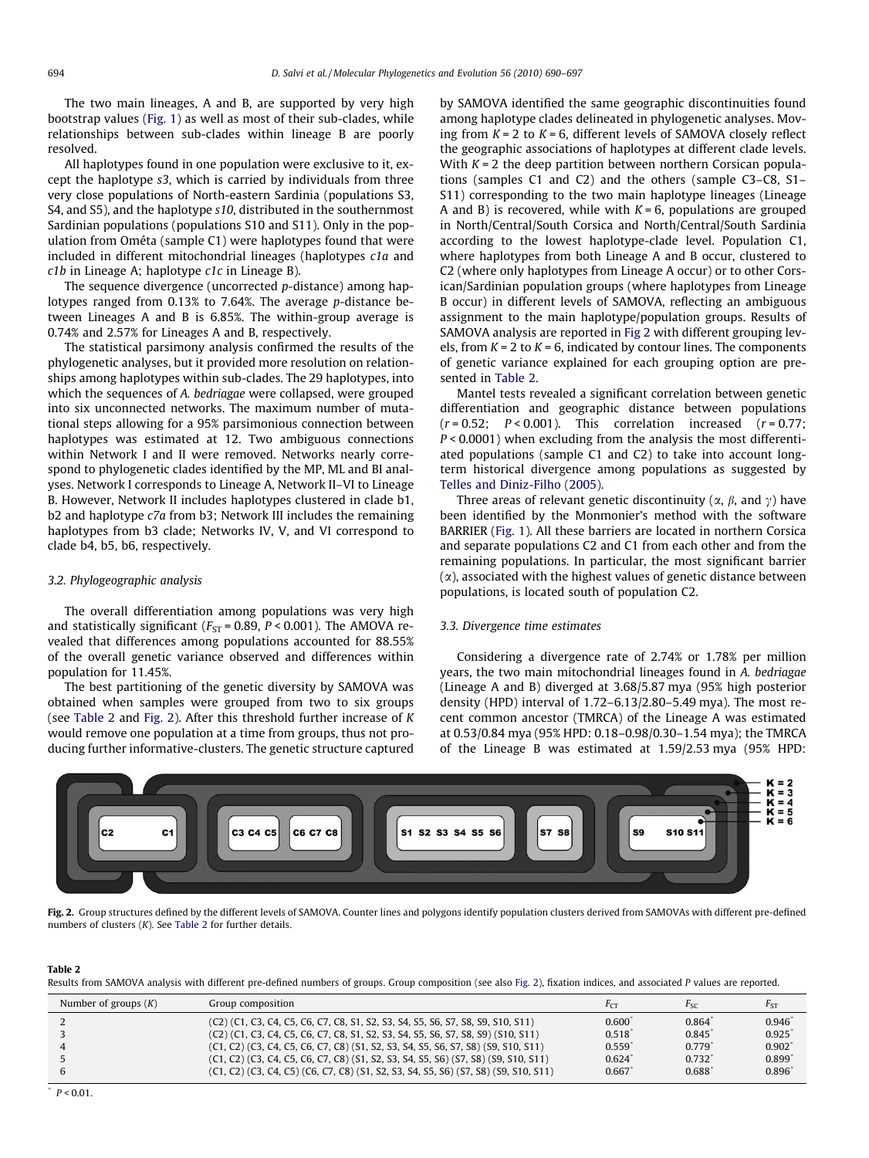The two main lineages, A and B, are supported by very high bootstrap values ([Fig. 1](#page-2-0)) as well as most of their sub-clades, while relationships between sub-clades within lineage B are poorly resolved.

All haplotypes found in one population were exclusive to it, except the haplotype s3, which is carried by individuals from three very close populations of North-eastern Sardinia (populations S3, S4, and S5), and the haplotype s10, distributed in the southernmost Sardinian populations (populations S10 and S11). Only in the population from Ométa (sample C1) were haplotypes found that were included in different mitochondrial lineages (haplotypes c1a and  $c1b$  in Lineage A; haplotype  $c1c$  in Lineage B).

The sequence divergence (uncorrected p-distance) among haplotypes ranged from 0.13% to 7.64%. The average p-distance between Lineages A and B is 6.85%. The within-group average is 0.74% and 2.57% for Lineages A and B, respectively.

The statistical parsimony analysis confirmed the results of the phylogenetic analyses, but it provided more resolution on relationships among haplotypes within sub-clades. The 29 haplotypes, into which the sequences of A. bedriagae were collapsed, were grouped into six unconnected networks. The maximum number of mutational steps allowing for a 95% parsimonious connection between haplotypes was estimated at 12. Two ambiguous connections within Network I and II were removed. Networks nearly correspond to phylogenetic clades identified by the MP, ML and BI analyses. Network I corresponds to Lineage A, Network II–VI to Lineage B. However, Network II includes haplotypes clustered in clade b1, b2 and haplotype c7a from b3; Network III includes the remaining haplotypes from b3 clade; Networks IV, V, and VI correspond to clade b4, b5, b6, respectively.

#### 3.2. Phylogeographic analysis

The overall differentiation among populations was very high and statistically significant ( $F_{ST}$  = 0.89,  $P$  < 0.001). The AMOVA revealed that differences among populations accounted for 88.55% of the overall genetic variance observed and differences within population for 11.45%.

The best partitioning of the genetic diversity by SAMOVA was obtained when samples were grouped from two to six groups (see Table 2 and Fig. 2). After this threshold further increase of K would remove one population at a time from groups, thus not producing further informative-clusters. The genetic structure captured by SAMOVA identified the same geographic discontinuities found among haplotype clades delineated in phylogenetic analyses. Moving from  $K = 2$  to  $K = 6$ , different levels of SAMOVA closely reflect the geographic associations of haplotypes at different clade levels. With  $K = 2$  the deep partition between northern Corsican populations (samples C1 and C2) and the others (sample C3–C8, S1– S11) corresponding to the two main haplotype lineages (Lineage A and B) is recovered, while with  $K = 6$ , populations are grouped in North/Central/South Corsica and North/Central/South Sardinia according to the lowest haplotype-clade level. Population C1, where haplotypes from both Lineage A and B occur, clustered to C2 (where only haplotypes from Lineage A occur) or to other Corsican/Sardinian population groups (where haplotypes from Lineage B occur) in different levels of SAMOVA, reflecting an ambiguous assignment to the main haplotype/population groups. Results of SAMOVA analysis are reported in Fig 2 with different grouping levels, from  $K = 2$  to  $K = 6$ , indicated by contour lines. The components of genetic variance explained for each grouping option are presented in Table 2.

Mantel tests revealed a significant correlation between genetic differentiation and geographic distance between populations  $(r = 0.52; P < 0.001)$ . This correlation increased  $(r = 0.77;$  $P < 0.0001$ ) when excluding from the analysis the most differentiated populations (sample C1 and C2) to take into account longterm historical divergence among populations as suggested by [Telles and Diniz-Filho \(2005\)](#page-7-0).

Three areas of relevant genetic discontinuity ( $\alpha$ ,  $\beta$ , and  $\gamma$ ) have been identified by the Monmonier's method with the software BARRIER ([Fig. 1](#page-2-0)). All these barriers are located in northern Corsica and separate populations C2 and C1 from each other and from the remaining populations. In particular, the most significant barrier  $(\alpha)$ , associated with the highest values of genetic distance between populations, is located south of population C2.

#### 3.3. Divergence time estimates

Considering a divergence rate of 2.74% or 1.78% per million years, the two main mitochondrial lineages found in A. bedriagae (Lineage A and B) diverged at 3.68/5.87 mya (95% high posterior density (HPD) interval of 1.72–6.13/2.80–5.49 mya). The most recent common ancestor (TMRCA) of the Lineage A was estimated at 0.53/0.84 mya (95% HPD: 0.18–0.98/0.30–1.54 mya); the TMRCA of the Lineage B was estimated at 1.59/2.53 mya (95% HPD:



Fig. 2. Group structures defined by the different levels of SAMOVA. Counter lines and polygons identify population clusters derived from SAMOVAs with different pre-defined numbers of clusters (K). See Table 2 for further details.

## Table 2

Results from SAMOVA analysis with different pre-defined numbers of groups. Group composition (see also Fig. 2), fixation indices, and associated P values are reported.

| Number of groups $(K)$ | Group composition                                                                               | Fct                  | <b>Fsc</b>           | <b>FST</b> |
|------------------------|-------------------------------------------------------------------------------------------------|----------------------|----------------------|------------|
|                        | (C2) (C1, C3, C4, C5, C6, C7, C8, S1, S2, S3, S4, S5, S6, S7, S8, S9, S10, S11)                 | $0.600^*$            | $0.864$ <sup>*</sup> | 0.946"     |
|                        | $(C2)$ $(C1, C3, C4, C5, C6, C7, C8, S1, S2, S3, S4, S5, S6, S7, S8, S9)$ $(S10, S11)$          | 0.518"               | $0.845$ <sup>*</sup> | 0.925      |
|                        | $(C1, C2)$ $(C3, C4, C5, C6, C7, C8)$ $(S1, S2, S3, S4, S5, S6, S7, S8)$ $(S9, S10, S11)$       | 0.559"               | $0.779^*$            | $0.902^*$  |
|                        | $(C1, C2)$ $(C3, C4, C5, C6, C7, C8)$ $(S1, S2, S3, S4, S5, S6)$ $(S7, S8)$ $(S9, S10, S11)$    | $0.624$ <sup>*</sup> | $0.732$ <sup>*</sup> | 0.899"     |
|                        | $(C1, C2)$ $(C3, C4, C5)$ $(C6, C7, C8)$ $(S1, S2, S3, S4, S5, S6)$ $(S7, S8)$ $(S9, S10, S11)$ | 0.667                | $0.688$ <sup>*</sup> | 0.896"     |

 $P < 0.01$ .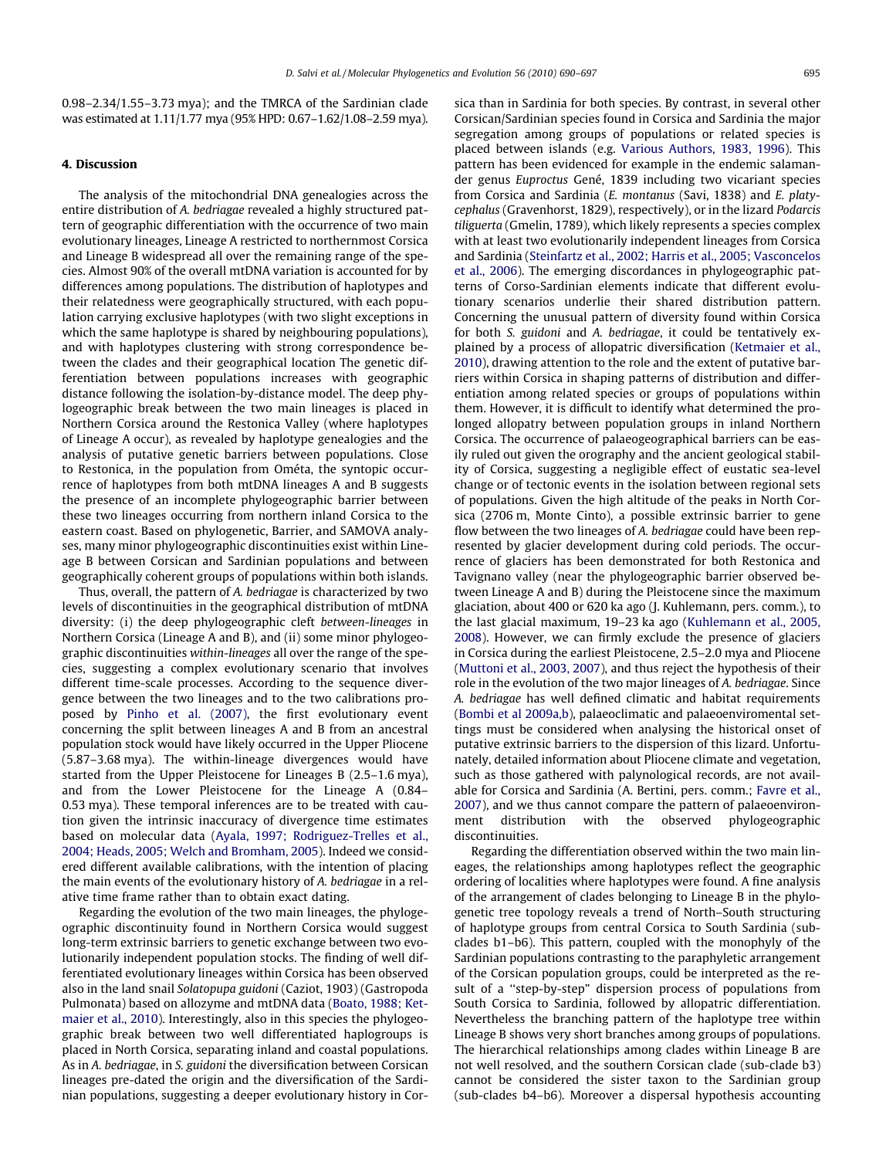0.98–2.34/1.55–3.73 mya); and the TMRCA of the Sardinian clade was estimated at 1.11/1.77 mya (95% HPD: 0.67–1.62/1.08–2.59 mya).

#### 4. Discussion

The analysis of the mitochondrial DNA genealogies across the entire distribution of A. bedriagae revealed a highly structured pattern of geographic differentiation with the occurrence of two main evolutionary lineages, Lineage A restricted to northernmost Corsica and Lineage B widespread all over the remaining range of the species. Almost 90% of the overall mtDNA variation is accounted for by differences among populations. The distribution of haplotypes and their relatedness were geographically structured, with each population carrying exclusive haplotypes (with two slight exceptions in which the same haplotype is shared by neighbouring populations), and with haplotypes clustering with strong correspondence between the clades and their geographical location The genetic differentiation between populations increases with geographic distance following the isolation-by-distance model. The deep phylogeographic break between the two main lineages is placed in Northern Corsica around the Restonica Valley (where haplotypes of Lineage A occur), as revealed by haplotype genealogies and the analysis of putative genetic barriers between populations. Close to Restonica, in the population from Ométa, the syntopic occurrence of haplotypes from both mtDNA lineages A and B suggests the presence of an incomplete phylogeographic barrier between these two lineages occurring from northern inland Corsica to the eastern coast. Based on phylogenetic, Barrier, and SAMOVA analyses, many minor phylogeographic discontinuities exist within Lineage B between Corsican and Sardinian populations and between geographically coherent groups of populations within both islands.

Thus, overall, the pattern of A. bedriagae is characterized by two levels of discontinuities in the geographical distribution of mtDNA diversity: (i) the deep phylogeographic cleft between-lineages in Northern Corsica (Lineage A and B), and (ii) some minor phylogeographic discontinuities within-lineages all over the range of the species, suggesting a complex evolutionary scenario that involves different time-scale processes. According to the sequence divergence between the two lineages and to the two calibrations proposed by [Pinho et al. \(2007\)](#page-7-0), the first evolutionary event concerning the split between lineages A and B from an ancestral population stock would have likely occurred in the Upper Pliocene (5.87–3.68 mya). The within-lineage divergences would have started from the Upper Pleistocene for Lineages B (2.5–1.6 mya), and from the Lower Pleistocene for the Lineage A (0.84– 0.53 mya). These temporal inferences are to be treated with caution given the intrinsic inaccuracy of divergence time estimates based on molecular data ([Ayala, 1997; Rodriguez-Trelles et al.,](#page-6-0) [2004; Heads, 2005; Welch and Bromham, 2005](#page-6-0)). Indeed we considered different available calibrations, with the intention of placing the main events of the evolutionary history of A. bedriagae in a relative time frame rather than to obtain exact dating.

Regarding the evolution of the two main lineages, the phylogeographic discontinuity found in Northern Corsica would suggest long-term extrinsic barriers to genetic exchange between two evolutionarily independent population stocks. The finding of well differentiated evolutionary lineages within Corsica has been observed also in the land snail Solatopupa guidoni (Caziot, 1903) (Gastropoda Pulmonata) based on allozyme and mtDNA data [\(Boato, 1988; Ket](#page-6-0)[maier et al., 2010](#page-6-0)). Interestingly, also in this species the phylogeographic break between two well differentiated haplogroups is placed in North Corsica, separating inland and coastal populations. As in A. bedriagae, in S. guidoni the diversification between Corsican lineages pre-dated the origin and the diversification of the Sardinian populations, suggesting a deeper evolutionary history in Corsica than in Sardinia for both species. By contrast, in several other Corsican/Sardinian species found in Corsica and Sardinia the major segregation among groups of populations or related species is placed between islands (e.g. [Various Authors, 1983, 1996](#page-7-0)). This pattern has been evidenced for example in the endemic salamander genus Euproctus Gené, 1839 including two vicariant species from Corsica and Sardinia (E. montanus (Savi, 1838) and E. platycephalus (Gravenhorst, 1829), respectively), or in the lizard Podarcis tiliguerta (Gmelin, 1789), which likely represents a species complex with at least two evolutionarily independent lineages from Corsica and Sardinia [\(Steinfartz et al., 2002; Harris et al., 2005; Vasconcelos](#page-7-0) [et al., 2006\)](#page-7-0). The emerging discordances in phylogeographic patterns of Corso-Sardinian elements indicate that different evolutionary scenarios underlie their shared distribution pattern. Concerning the unusual pattern of diversity found within Corsica for both S. guidoni and A. bedriagae, it could be tentatively explained by a process of allopatric diversification ([Ketmaier et al.,](#page-7-0) [2010](#page-7-0)), drawing attention to the role and the extent of putative barriers within Corsica in shaping patterns of distribution and differentiation among related species or groups of populations within them. However, it is difficult to identify what determined the prolonged allopatry between population groups in inland Northern Corsica. The occurrence of palaeogeographical barriers can be easily ruled out given the orography and the ancient geological stability of Corsica, suggesting a negligible effect of eustatic sea-level change or of tectonic events in the isolation between regional sets of populations. Given the high altitude of the peaks in North Corsica (2706 m, Monte Cinto), a possible extrinsic barrier to gene flow between the two lineages of A. bedriagae could have been represented by glacier development during cold periods. The occurrence of glaciers has been demonstrated for both Restonica and Tavignano valley (near the phylogeographic barrier observed between Lineage A and B) during the Pleistocene since the maximum glaciation, about 400 or 620 ka ago (J. Kuhlemann, pers. comm.), to the last glacial maximum, 19–23 ka ago [\(Kuhlemann et al., 2005,](#page-7-0) [2008](#page-7-0)). However, we can firmly exclude the presence of glaciers in Corsica during the earliest Pleistocene, 2.5–2.0 mya and Pliocene ([Muttoni et al., 2003, 2007\)](#page-7-0), and thus reject the hypothesis of their role in the evolution of the two major lineages of A. bedriagae. Since A. bedriagae has well defined climatic and habitat requirements ([Bombi et al 2009a,b\)](#page-6-0), palaeoclimatic and palaeoenviromental settings must be considered when analysing the historical onset of putative extrinsic barriers to the dispersion of this lizard. Unfortunately, detailed information about Pliocene climate and vegetation, such as those gathered with palynological records, are not available for Corsica and Sardinia (A. Bertini, pers. comm.; [Favre et al.,](#page-6-0) [2007](#page-6-0)), and we thus cannot compare the pattern of palaeoenvironment distribution with the observed phylogeographic discontinuities.

Regarding the differentiation observed within the two main lineages, the relationships among haplotypes reflect the geographic ordering of localities where haplotypes were found. A fine analysis of the arrangement of clades belonging to Lineage B in the phylogenetic tree topology reveals a trend of North–South structuring of haplotype groups from central Corsica to South Sardinia (subclades b1–b6). This pattern, coupled with the monophyly of the Sardinian populations contrasting to the paraphyletic arrangement of the Corsican population groups, could be interpreted as the result of a ''step-by-step" dispersion process of populations from South Corsica to Sardinia, followed by allopatric differentiation. Nevertheless the branching pattern of the haplotype tree within Lineage B shows very short branches among groups of populations. The hierarchical relationships among clades within Lineage B are not well resolved, and the southern Corsican clade (sub-clade b3) cannot be considered the sister taxon to the Sardinian group (sub-clades b4–b6). Moreover a dispersal hypothesis accounting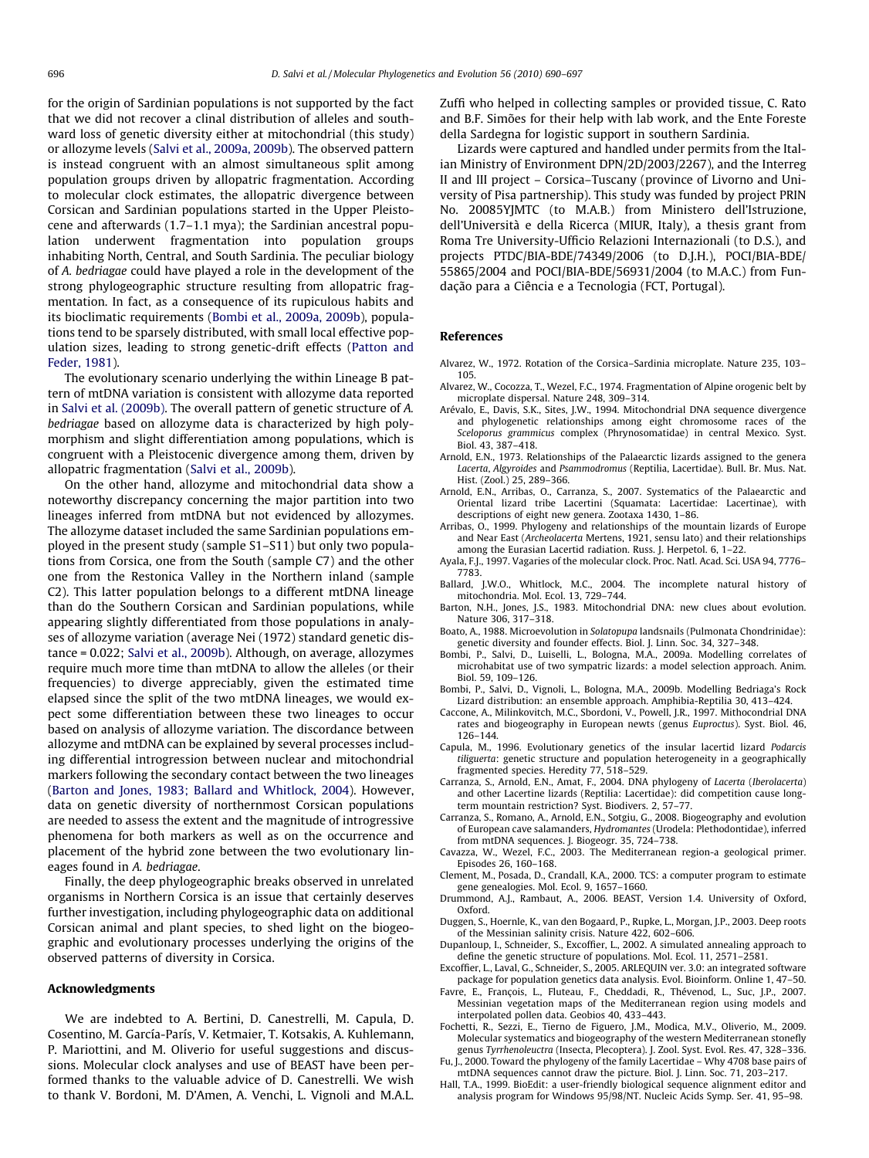<span id="page-6-0"></span>for the origin of Sardinian populations is not supported by the fact that we did not recover a clinal distribution of alleles and southward loss of genetic diversity either at mitochondrial (this study) or allozyme levels [\(Salvi et al., 2009a, 2009b](#page-7-0)). The observed pattern is instead congruent with an almost simultaneous split among population groups driven by allopatric fragmentation. According to molecular clock estimates, the allopatric divergence between Corsican and Sardinian populations started in the Upper Pleistocene and afterwards (1.7–1.1 mya); the Sardinian ancestral population underwent fragmentation into population groups inhabiting North, Central, and South Sardinia. The peculiar biology of A. bedriagae could have played a role in the development of the strong phylogeographic structure resulting from allopatric fragmentation. In fact, as a consequence of its rupiculous habits and its bioclimatic requirements (Bombi et al., 2009a, 2009b), populations tend to be sparsely distributed, with small local effective population sizes, leading to strong genetic-drift effects [\(Patton and](#page-7-0) [Feder, 1981](#page-7-0)).

The evolutionary scenario underlying the within Lineage B pattern of mtDNA variation is consistent with allozyme data reported in [Salvi et al. \(2009b\).](#page-7-0) The overall pattern of genetic structure of A. bedriagae based on allozyme data is characterized by high polymorphism and slight differentiation among populations, which is congruent with a Pleistocenic divergence among them, driven by allopatric fragmentation ([Salvi et al., 2009b\)](#page-7-0).

On the other hand, allozyme and mitochondrial data show a noteworthy discrepancy concerning the major partition into two lineages inferred from mtDNA but not evidenced by allozymes. The allozyme dataset included the same Sardinian populations employed in the present study (sample S1–S11) but only two populations from Corsica, one from the South (sample C7) and the other one from the Restonica Valley in the Northern inland (sample C2). This latter population belongs to a different mtDNA lineage than do the Southern Corsican and Sardinian populations, while appearing slightly differentiated from those populations in analyses of allozyme variation (average Nei (1972) standard genetic distance = 0.022; [Salvi et al., 2009b](#page-7-0)). Although, on average, allozymes require much more time than mtDNA to allow the alleles (or their frequencies) to diverge appreciably, given the estimated time elapsed since the split of the two mtDNA lineages, we would expect some differentiation between these two lineages to occur based on analysis of allozyme variation. The discordance between allozyme and mtDNA can be explained by several processes including differential introgression between nuclear and mitochondrial markers following the secondary contact between the two lineages (Barton and Jones, 1983; Ballard and Whitlock, 2004). However, data on genetic diversity of northernmost Corsican populations are needed to assess the extent and the magnitude of introgressive phenomena for both markers as well as on the occurrence and placement of the hybrid zone between the two evolutionary lineages found in A. bedriagae.

Finally, the deep phylogeographic breaks observed in unrelated organisms in Northern Corsica is an issue that certainly deserves further investigation, including phylogeographic data on additional Corsican animal and plant species, to shed light on the biogeographic and evolutionary processes underlying the origins of the observed patterns of diversity in Corsica.

#### Acknowledgments

We are indebted to A. Bertini, D. Canestrelli, M. Capula, D. Cosentino, M. García-París, V. Ketmaier, T. Kotsakis, A. Kuhlemann, P. Mariottini, and M. Oliverio for useful suggestions and discussions. Molecular clock analyses and use of BEAST have been performed thanks to the valuable advice of D. Canestrelli. We wish to thank V. Bordoni, M. D'Amen, A. Venchi, L. Vignoli and M.A.L.

Zuffi who helped in collecting samples or provided tissue, C. Rato and B.F. Simões for their help with lab work, and the Ente Foreste della Sardegna for logistic support in southern Sardinia.

Lizards were captured and handled under permits from the Italian Ministry of Environment DPN/2D/2003/2267), and the Interreg II and III project – Corsica–Tuscany (province of Livorno and University of Pisa partnership). This study was funded by project PRIN No. 20085YJMTC (to M.A.B.) from Ministero dell'Istruzione, dell'Università e della Ricerca (MIUR, Italy), a thesis grant from Roma Tre University-Ufficio Relazioni Internazionali (to D.S.), and projects PTDC/BIA-BDE/74349/2006 (to D.J.H.), POCI/BIA-BDE/ 55865/2004 and POCI/BIA-BDE/56931/2004 (to M.A.C.) from Fundação para a Ciência e a Tecnologia (FCT, Portugal).

#### References

Alvarez, W., 1972. Rotation of the Corsica–Sardinia microplate. Nature 235, 103– 105.

- Alvarez, W., Cocozza, T., Wezel, F.C., 1974. Fragmentation of Alpine orogenic belt by microplate dispersal. Nature 248, 309–314.
- Arévalo, E., Davis, S.K., Sites, J.W., 1994. Mitochondrial DNA sequence divergence and phylogenetic relationships among eight chromosome races of the Sceloporus grammicus complex (Phrynosomatidae) in central Mexico. Syst. Biol. 43, 387–418.
- Arnold, E.N., 1973. Relationships of the Palaearctic lizards assigned to the genera Lacerta, Algyroides and Psammodromus (Reptilia, Lacertidae). Bull. Br. Mus. Nat. Hist. (Zool.) 25, 289–366.
- Arnold, E.N., Arribas, O., Carranza, S., 2007. Systematics of the Palaearctic and Oriental lizard tribe Lacertini (Squamata: Lacertidae: Lacertinae), with descriptions of eight new genera. Zootaxa 1430, 1–86.
- Arribas, O., 1999. Phylogeny and relationships of the mountain lizards of Europe and Near East (Archeolacerta Mertens, 1921, sensu lato) and their relationships among the Eurasian Lacertid radiation. Russ. J. Herpetol. 6, 1–22.
- Ayala, F.J., 1997. Vagaries of the molecular clock. Proc. Natl. Acad. Sci. USA 94, 7776– 7783.
- Ballard, J.W.O., Whitlock, M.C., 2004. The incomplete natural history of mitochondria. Mol. Ecol. 13, 729–744.
- Barton, N.H., Jones, J.S., 1983. Mitochondrial DNA: new clues about evolution. Nature 306, 317–318.
- Boato, A., 1988. Microevolution in Solatopupa landsnails (Pulmonata Chondrinidae): genetic diversity and founder effects. Biol. J. Linn. Soc. 34, 327–348.
- Bombi, P., Salvi, D., Luiselli, L., Bologna, M.A., 2009a. Modelling correlates of microhabitat use of two sympatric lizards: a model selection approach. Anim. Biol. 59, 109–126.
- Bombi, P., Salvi, D., Vignoli, L., Bologna, M.A., 2009b. Modelling Bedriaga's Rock Lizard distribution: an ensemble approach. Amphibia-Reptilia 30, 413–424.
- Caccone, A., Milinkovitch, M.C., Sbordoni, V., Powell, J.R., 1997. Mithocondrial DNA rates and biogeography in European newts (genus Euproctus). Syst. Biol. 46, 126–144.
- Capula, M., 1996. Evolutionary genetics of the insular lacertid lizard Podarcis tiliguerta: genetic structure and population heterogeneity in a geographically fragmented species. Heredity 77, 518–529.
- Carranza, S., Arnold, E.N., Amat, F., 2004. DNA phylogeny of Lacerta (Iberolacerta) and other Lacertine lizards (Reptilia: Lacertidae): did competition cause longterm mountain restriction? Syst. Biodivers. 2, 57–77.
- Carranza, S., Romano, A., Arnold, E.N., Sotgiu, G., 2008. Biogeography and evolution of European cave salamanders, Hydromantes (Urodela: Plethodontidae), inferred from mtDNA sequences. J. Biogeogr. 35, 724–738.
- Cavazza, W., Wezel, F.C., 2003. The Mediterranean region-a geological primer. Episodes 26, 160–168.
- Clement, M., Posada, D., Crandall, K.A., 2000. TCS: a computer program to estimate gene genealogies. Mol. Ecol. 9, 1657–1660.
- Drummond, A.J., Rambaut, A., 2006. BEAST, Version 1.4. University of Oxford, Oxford.
- Duggen, S., Hoernle, K., van den Bogaard, P., Rupke, L., Morgan, J.P., 2003. Deep roots of the Messinian salinity crisis. Nature 422, 602–606.
- Dupanloup, I., Schneider, S., Excoffier, L., 2002. A simulated annealing approach to define the genetic structure of populations. Mol. Ecol. 11, 2571–2581.
- Excoffier, L., Laval, G., Schneider, S., 2005. ARLEQUIN ver. 3.0: an integrated software package for population genetics data analysis. Evol. Bioinform. Online 1, 47–50.
- Favre, E., François, L., Fluteau, F., Cheddadi, R., Thévenod, L., Suc, J.P., 2007. Messinian vegetation maps of the Mediterranean region using models and interpolated pollen data. Geobios 40, 433–443.
- Fochetti, R., Sezzi, E., Tierno de Figuero, J.M., Modica, M.V., Oliverio, M., 2009. Molecular systematics and biogeography of the western Mediterranean stonefly genus Tyrrhenoleuctra (Insecta, Plecoptera). J. Zool. Syst. Evol. Res. 47, 328–336.
- Fu, J., 2000. Toward the phylogeny of the family Lacertidae Why 4708 base pairs of mtDNA sequences cannot draw the picture. Biol. J. Linn. Soc. 71, 203–217.
- Hall, T.A., 1999. BioEdit: a user-friendly biological sequence alignment editor and analysis program for Windows 95/98/NT. Nucleic Acids Symp. Ser. 41, 95–98.